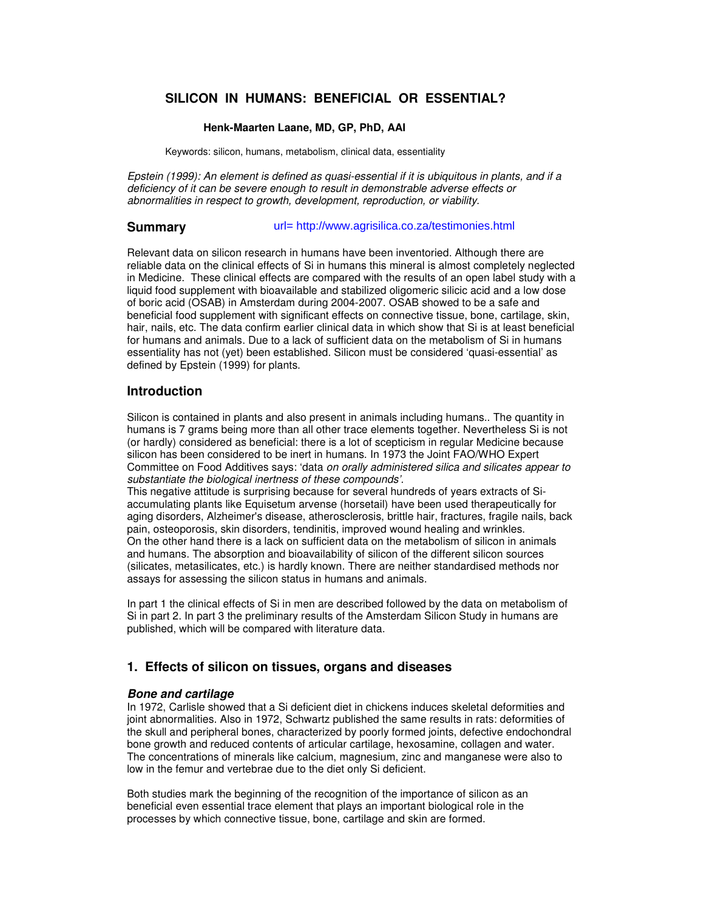# **SILICON IN HUMANS: BENEFICIAL OR ESSENTIAL?**

## **Henk-Maarten Laane, MD, GP, PhD, AAI**

Keywords: silicon, humans, metabolism, clinical data, essentiality

Epstein (1999): An element is defined as quasi-essential if it is ubiquitous in plants, and if a deficiency of it can be severe enough to result in demonstrable adverse effects or abnormalities in respect to growth, development, reproduction, or viability.

#### **Summary**  url= http://www.agrisilica.co.za/testimonies.html

Relevant data on silicon research in humans have been inventoried. Although there are reliable data on the clinical effects of Si in humans this mineral is almost completely neglected in Medicine. These clinical effects are compared with the results of an open label study with a liquid food supplement with bioavailable and stabilized oligomeric silicic acid and a low dose of boric acid (OSAB) in Amsterdam during 2004-2007. OSAB showed to be a safe and beneficial food supplement with significant effects on connective tissue, bone, cartilage, skin, hair, nails, etc. The data confirm earlier clinical data in which show that Si is at least beneficial for humans and animals. Due to a lack of sufficient data on the metabolism of Si in humans essentiality has not (yet) been established. Silicon must be considered 'quasi-essential' as defined by Epstein (1999) for plants.

## **Introduction**

Silicon is contained in plants and also present in animals including humans.. The quantity in humans is 7 grams being more than all other trace elements together. Nevertheless Si is not (or hardly) considered as beneficial: there is a lot of scepticism in regular Medicine because silicon has been considered to be inert in humans. In 1973 the Joint FAO/WHO Expert Committee on Food Additives says: 'data on orally administered silica and silicates appear to substantiate the biological inertness of these compounds'.

This negative attitude is surprising because for several hundreds of years extracts of Siaccumulating plants like Equisetum arvense (horsetail) have been used therapeutically for aging disorders, Alzheimer's disease, atherosclerosis, brittle hair, fractures, fragile nails, back pain, osteoporosis, skin disorders, tendinitis, improved wound healing and wrinkles. On the other hand there is a lack on sufficient data on the metabolism of silicon in animals and humans. The absorption and bioavailability of silicon of the different silicon sources (silicates, metasilicates, etc.) is hardly known. There are neither standardised methods nor assays for assessing the silicon status in humans and animals.

In part 1 the clinical effects of Si in men are described followed by the data on metabolism of Si in part 2. In part 3 the preliminary results of the Amsterdam Silicon Study in humans are published, which will be compared with literature data.

# **1. Effects of silicon on tissues, organs and diseases**

## **Bone and cartilage**

In 1972, Carlisle showed that a Si deficient diet in chickens induces skeletal deformities and joint abnormalities. Also in 1972, Schwartz published the same results in rats: deformities of the skull and peripheral bones, characterized by poorly formed joints, defective endochondral bone growth and reduced contents of articular cartilage, hexosamine, collagen and water. The concentrations of minerals like calcium, magnesium, zinc and manganese were also to low in the femur and vertebrae due to the diet only Si deficient.

Both studies mark the beginning of the recognition of the importance of silicon as an beneficial even essential trace element that plays an important biological role in the processes by which connective tissue, bone, cartilage and skin are formed.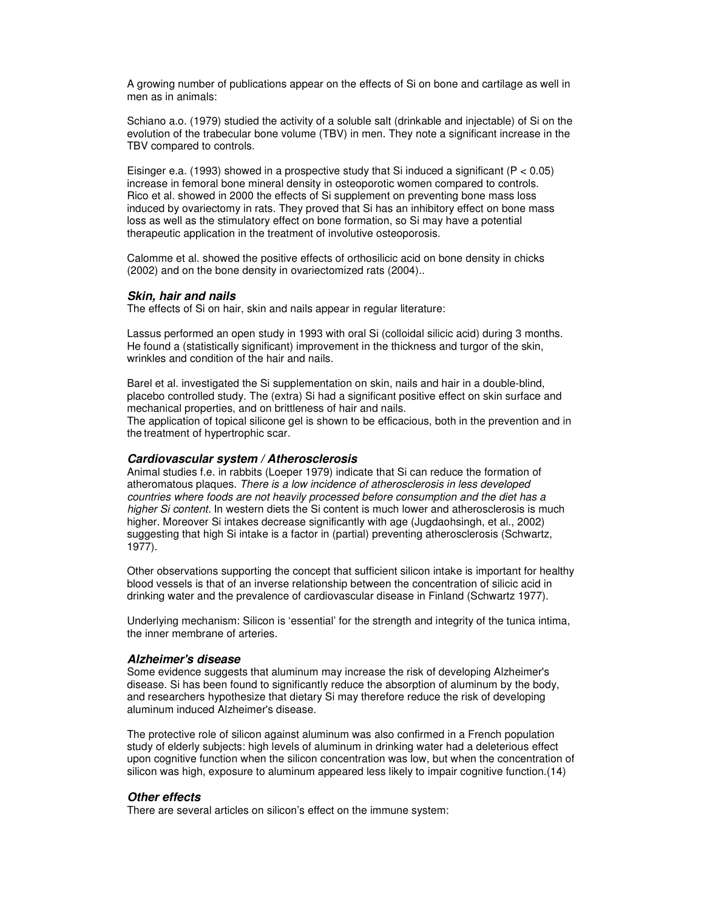A growing number of publications appear on the effects of Si on bone and cartilage as well in men as in animals:

Schiano a.o. (1979) studied the activity of a soluble salt (drinkable and injectable) of Si on the evolution of the trabecular bone volume (TBV) in men. They note a significant increase in the TBV compared to controls.

Eisinger e.a. (1993) showed in a prospective study that Si induced a significant (P < 0.05) increase in femoral bone mineral density in osteoporotic women compared to controls. Rico et al. showed in 2000 the effects of Si supplement on preventing bone mass loss induced by ovariectomy in rats. They proved that Si has an inhibitory effect on bone mass loss as well as the stimulatory effect on bone formation, so Si may have a potential therapeutic application in the treatment of involutive osteoporosis.

Calomme et al. showed the positive effects of orthosilicic acid on bone density in chicks (2002) and on the bone density in ovariectomized rats (2004)..

#### **Skin, hair and nails**

The effects of Si on hair, skin and nails appear in regular literature:

Lassus performed an open study in 1993 with oral Si (colloidal silicic acid) during 3 months. He found a (statistically significant) improvement in the thickness and turgor of the skin, wrinkles and condition of the hair and nails.

Barel et al. investigated the Si supplementation on skin, nails and hair in a double-blind, placebo controlled study. The (extra) Si had a significant positive effect on skin surface and mechanical properties, and on brittleness of hair and nails.

The application of topical silicone gel is shown to be efficacious, both in the prevention and in the treatment of hypertrophic scar.

#### **Cardiovascular system / Atherosclerosis**

Animal studies f.e. in rabbits (Loeper 1979) indicate that Si can reduce the formation of atheromatous plaques. There is a low incidence of atherosclerosis in less developed countries where foods are not heavily processed before consumption and the diet has a higher Si content. In western diets the Si content is much lower and atherosclerosis is much higher. Moreover Si intakes decrease significantly with age (Jugdaohsingh, et al., 2002) suggesting that high Si intake is a factor in (partial) preventing atherosclerosis (Schwartz, 1977).

Other observations supporting the concept that sufficient silicon intake is important for healthy blood vessels is that of an inverse relationship between the concentration of silicic acid in drinking water and the prevalence of cardiovascular disease in Finland (Schwartz 1977).

Underlying mechanism: Silicon is 'essential' for the strength and integrity of the tunica intima, the inner membrane of arteries.

#### **Alzheimer's disease**

Some evidence suggests that aluminum may increase the risk of developing Alzheimer's disease. Si has been found to significantly reduce the absorption of aluminum by the body, and researchers hypothesize that dietary Si may therefore reduce the risk of developing aluminum induced Alzheimer's disease.

The protective role of silicon against aluminum was also confirmed in a French population study of elderly subjects: high levels of aluminum in drinking water had a deleterious effect upon cognitive function when the silicon concentration was low, but when the concentration of silicon was high, exposure to aluminum appeared less likely to impair cognitive function.(14)

#### **Other effects**

There are several articles on silicon's effect on the immune system: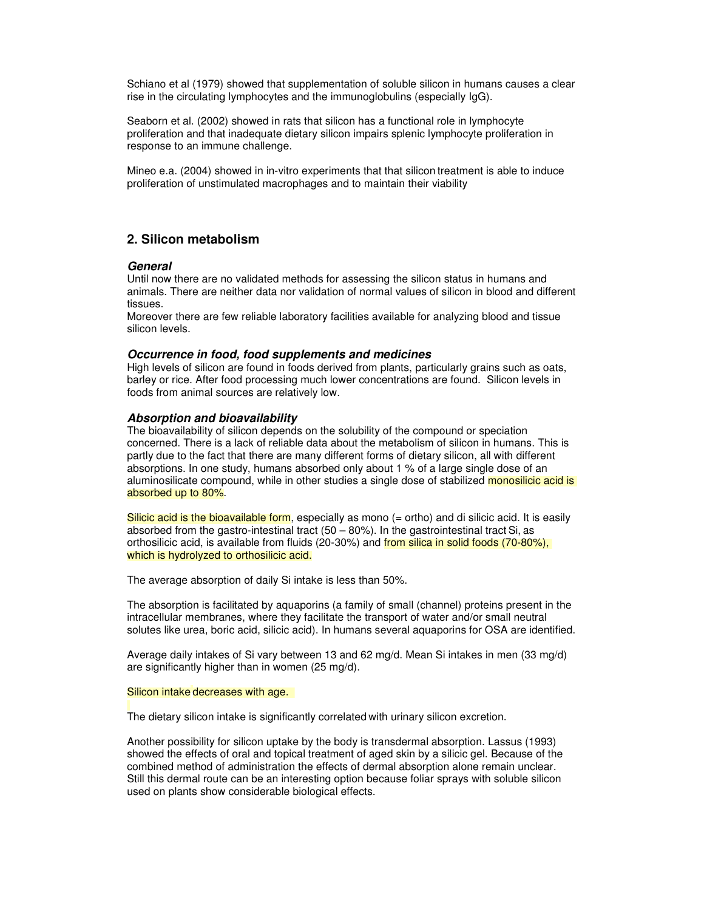Schiano et al (1979) showed that supplementation of soluble silicon in humans causes a clear rise in the circulating lymphocytes and the immunoglobulins (especially IgG).

Seaborn et al. (2002) showed in rats that silicon has a functional role in lymphocyte proliferation and that inadequate dietary silicon impairs splenic lymphocyte proliferation in response to an immune challenge.

Mineo e.a. (2004) showed in in-vitro experiments that that silicon treatment is able to induce proliferation of unstimulated macrophages and to maintain their viability

# **2. Silicon metabolism**

#### **General**

Until now there are no validated methods for assessing the silicon status in humans and animals. There are neither data nor validation of normal values of silicon in blood and different tissues.

Moreover there are few reliable laboratory facilities available for analyzing blood and tissue silicon levels.

#### **Occurrence in food, food supplements and medicines**

High levels of silicon are found in foods derived from plants, particularly grains such as oats, barley or rice. After food processing much lower concentrations are found. Silicon levels in foods from animal sources are relatively low.

### **Absorption and bioavailability**

The bioavailability of silicon depends on the solubility of the compound or speciation concerned. There is a lack of reliable data about the metabolism of silicon in humans. This is partly due to the fact that there are many different forms of dietary silicon, all with different absorptions. In one study, humans absorbed only about 1 % of a large single dose of an aluminosilicate compound, while in other studies a single dose of stabilized monosilicic acid is absorbed up to 80%.

Silicic acid is the bioavailable form, especially as mono (= ortho) and di silicic acid. It is easily absorbed from the gastro-intestinal tract  $(50 - 80\%)$ . In the gastrointestinal tract Si, as orthosilicic acid, is available from fluids (20-30%) and from silica in solid foods (70-80%), which is hydrolyzed to orthosilicic acid.

The average absorption of daily Si intake is less than 50%.

The absorption is facilitated by aquaporins (a family of small (channel) proteins present in the intracellular membranes, where they facilitate the transport of water and/or small neutral solutes like urea, boric acid, silicic acid). In humans several aquaporins for OSA are identified.

Average daily intakes of Si vary between 13 and 62 mg/d. Mean Si intakes in men (33 mg/d) are significantly higher than in women (25 mg/d).

#### Silicon intake decreases with age.

The dietary silicon intake is significantly correlated with urinary silicon excretion.

Another possibility for silicon uptake by the body is transdermal absorption. Lassus (1993) showed the effects of oral and topical treatment of aged skin by a silicic gel. Because of the combined method of administration the effects of dermal absorption alone remain unclear. Still this dermal route can be an interesting option because foliar sprays with soluble silicon used on plants show considerable biological effects.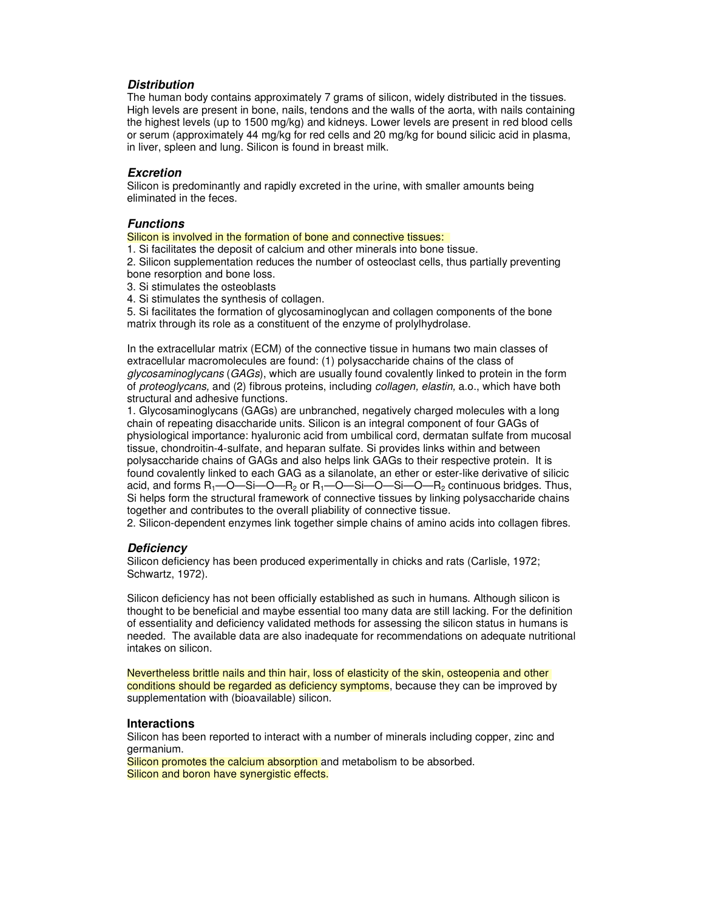## **Distribution**

The human body contains approximately 7 grams of silicon, widely distributed in the tissues. High levels are present in bone, nails, tendons and the walls of the aorta, with nails containing the highest levels (up to 1500 mg/kg) and kidneys. Lower levels are present in red blood cells or serum (approximately 44 mg/kg for red cells and 20 mg/kg for bound silicic acid in plasma, in liver, spleen and lung. Silicon is found in breast milk.

#### **Excretion**

Silicon is predominantly and rapidly excreted in the urine, with smaller amounts being eliminated in the feces.

### **Functions**

Silicon is involved in the formation of bone and connective tissues:

1. Si facilitates the deposit of calcium and other minerals into bone tissue.

2. Silicon supplementation reduces the number of osteoclast cells, thus partially preventing bone resorption and bone loss.

3. Si stimulates the osteoblasts

4. Si stimulates the synthesis of collagen.

5. Si facilitates the formation of glycosaminoglycan and collagen components of the bone matrix through its role as a constituent of the enzyme of prolylhydrolase.

In the extracellular matrix (ECM) of the connective tissue in humans two main classes of extracellular macromolecules are found: (1) polysaccharide chains of the class of glycosaminoglycans (GAGs), which are usually found covalently linked to protein in the form of proteoglycans, and (2) fibrous proteins, including collagen, elastin, a.o., which have both structural and adhesive functions.

1. Glycosaminoglycans (GAGs) are unbranched, negatively charged molecules with a long chain of repeating disaccharide units. Silicon is an integral component of four GAGs of physiological importance: hyaluronic acid from umbilical cord, dermatan sulfate from mucosal tissue, chondroitin-4-sulfate, and heparan sulfate. Si provides links within and between polysaccharide chains of GAGs and also helps link GAGs to their respective protein. It is found covalently linked to each GAG as a silanolate, an ether or ester-like derivative of silicic acid, and forms  $R_1$ —O—Si—O— $R_2$  or  $R_1$ —O—Si—O—Si—O— $R_2$  continuous bridges. Thus, Si helps form the structural framework of connective tissues by linking polysaccharide chains together and contributes to the overall pliability of connective tissue.

2. Silicon-dependent enzymes link together simple chains of amino acids into collagen fibres.

#### **Deficiency**

Silicon deficiency has been produced experimentally in chicks and rats (Carlisle, 1972; Schwartz, 1972).

Silicon deficiency has not been officially established as such in humans. Although silicon is thought to be beneficial and maybe essential too many data are still lacking. For the definition of essentiality and deficiency validated methods for assessing the silicon status in humans is needed. The available data are also inadequate for recommendations on adequate nutritional intakes on silicon.

Nevertheless brittle nails and thin hair, loss of elasticity of the skin, osteopenia and other conditions should be regarded as deficiency symptoms, because they can be improved by supplementation with (bioavailable) silicon.

#### **Interactions**

Silicon has been reported to interact with a number of minerals including copper, zinc and germanium.

Silicon promotes the calcium absorption and metabolism to be absorbed. Silicon and boron have synergistic effects.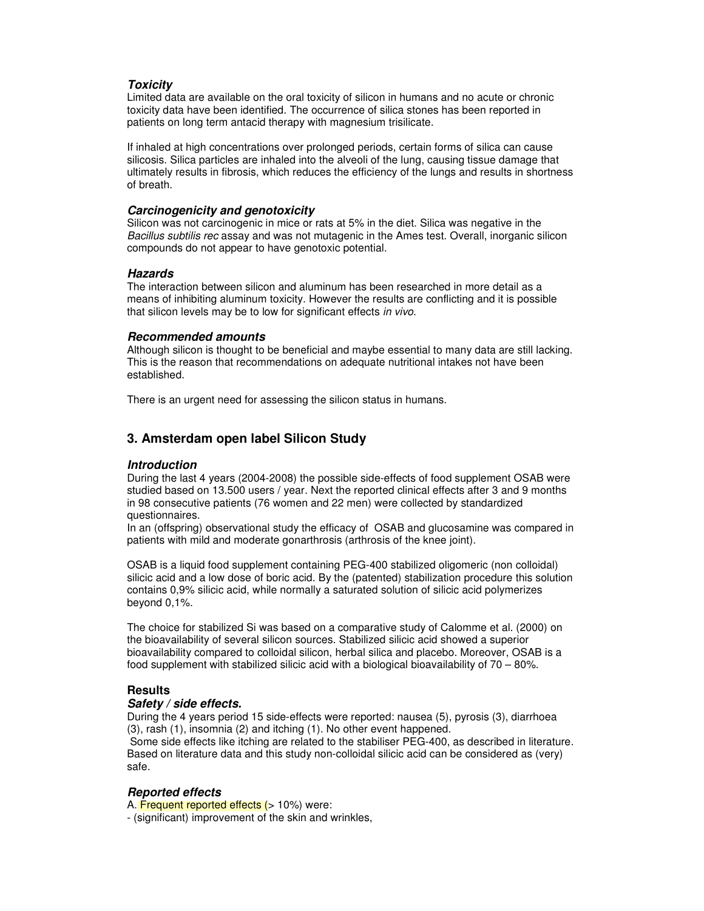## **Toxicity**

Limited data are available on the oral toxicity of silicon in humans and no acute or chronic toxicity data have been identified. The occurrence of silica stones has been reported in patients on long term antacid therapy with magnesium trisilicate.

If inhaled at high concentrations over prolonged periods, certain forms of silica can cause silicosis. Silica particles are inhaled into the alveoli of the lung, causing tissue damage that ultimately results in fibrosis, which reduces the efficiency of the lungs and results in shortness of breath.

### **Carcinogenicity and genotoxicity**

Silicon was not carcinogenic in mice or rats at 5% in the diet. Silica was negative in the Bacillus subtilis rec assay and was not mutagenic in the Ames test. Overall, inorganic silicon compounds do not appear to have genotoxic potential.

## **Hazards**

The interaction between silicon and aluminum has been researched in more detail as a means of inhibiting aluminum toxicity. However the results are conflicting and it is possible that silicon levels may be to low for significant effects in vivo.

## **Recommended amounts**

Although silicon is thought to be beneficial and maybe essential to many data are still lacking. This is the reason that recommendations on adequate nutritional intakes not have been established.

There is an urgent need for assessing the silicon status in humans.

# **3. Amsterdam open label Silicon Study**

## **Introduction**

During the last 4 years (2004-2008) the possible side-effects of food supplement OSAB were studied based on 13.500 users / year. Next the reported clinical effects after 3 and 9 months in 98 consecutive patients (76 women and 22 men) were collected by standardized questionnaires.

In an (offspring) observational study the efficacy of OSAB and glucosamine was compared in patients with mild and moderate gonarthrosis (arthrosis of the knee joint).

OSAB is a liquid food supplement containing PEG-400 stabilized oligomeric (non colloidal) silicic acid and a low dose of boric acid. By the (patented) stabilization procedure this solution contains 0,9% silicic acid, while normally a saturated solution of silicic acid polymerizes beyond 0,1%.

The choice for stabilized Si was based on a comparative study of Calomme et al. (2000) on the bioavailability of several silicon sources. Stabilized silicic acid showed a superior bioavailability compared to colloidal silicon, herbal silica and placebo. Moreover, OSAB is a food supplement with stabilized silicic acid with a biological bioavailability of 70 – 80%.

## **Results**

#### **Safety / side effects.**

During the 4 years period 15 side-effects were reported: nausea (5), pyrosis (3), diarrhoea (3), rash (1), insomnia (2) and itching (1). No other event happened.

 Some side effects like itching are related to the stabiliser PEG-400, as described in literature. Based on literature data and this study non-colloidal silicic acid can be considered as (very) safe.

## **Reported effects**

A. Frequent reported effects (> 10%) were:

- (significant) improvement of the skin and wrinkles,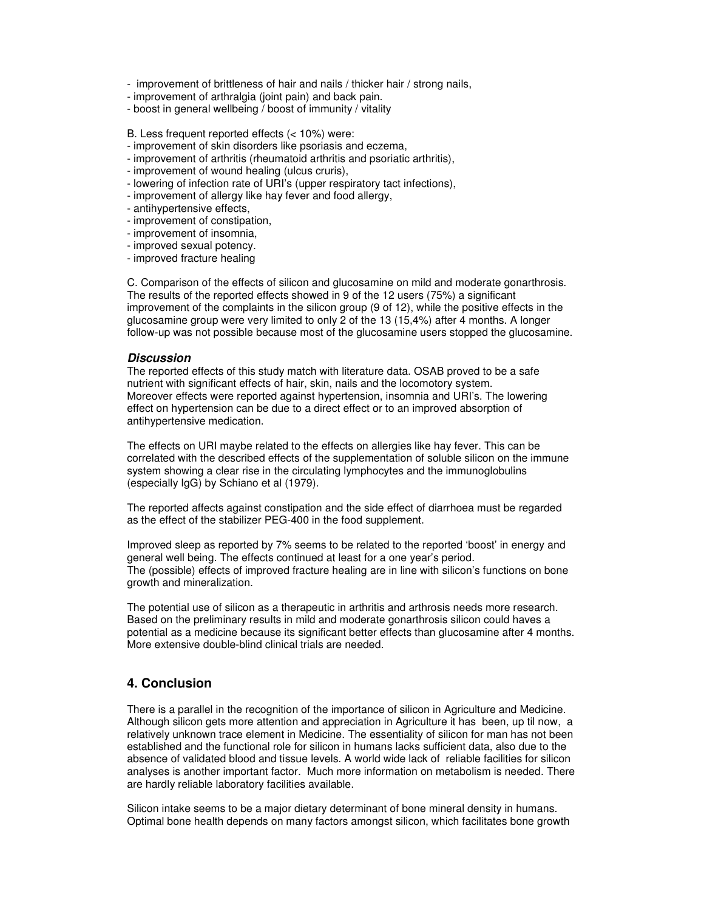- improvement of brittleness of hair and nails / thicker hair / strong nails,

- improvement of arthralgia (joint pain) and back pain.
- boost in general wellbeing / boost of immunity / vitality

### B. Less frequent reported effects (< 10%) were:

- improvement of skin disorders like psoriasis and eczema,
- improvement of arthritis (rheumatoid arthritis and psoriatic arthritis),
- improvement of wound healing (ulcus cruris),
- lowering of infection rate of URI's (upper respiratory tact infections),
- improvement of allergy like hay fever and food allergy,
- antihypertensive effects,
- improvement of constipation,
- improvement of insomnia,
- improved sexual potency.
- improved fracture healing

C. Comparison of the effects of silicon and glucosamine on mild and moderate gonarthrosis. The results of the reported effects showed in 9 of the 12 users (75%) a significant improvement of the complaints in the silicon group (9 of 12), while the positive effects in the glucosamine group were very limited to only 2 of the 13 (15,4%) after 4 months. A longer follow-up was not possible because most of the glucosamine users stopped the glucosamine.

#### **Discussion**

The reported effects of this study match with literature data. OSAB proved to be a safe nutrient with significant effects of hair, skin, nails and the locomotory system. Moreover effects were reported against hypertension, insomnia and URI's. The lowering effect on hypertension can be due to a direct effect or to an improved absorption of antihypertensive medication.

The effects on URI maybe related to the effects on allergies like hay fever. This can be correlated with the described effects of the supplementation of soluble silicon on the immune system showing a clear rise in the circulating lymphocytes and the immunoglobulins (especially IgG) by Schiano et al (1979).

The reported affects against constipation and the side effect of diarrhoea must be regarded as the effect of the stabilizer PEG-400 in the food supplement.

Improved sleep as reported by 7% seems to be related to the reported 'boost' in energy and general well being. The effects continued at least for a one year's period. The (possible) effects of improved fracture healing are in line with silicon's functions on bone growth and mineralization.

The potential use of silicon as a therapeutic in arthritis and arthrosis needs more research. Based on the preliminary results in mild and moderate gonarthrosis silicon could haves a potential as a medicine because its significant better effects than glucosamine after 4 months. More extensive double-blind clinical trials are needed.

# **4. Conclusion**

There is a parallel in the recognition of the importance of silicon in Agriculture and Medicine. Although silicon gets more attention and appreciation in Agriculture it has been, up til now, a relatively unknown trace element in Medicine. The essentiality of silicon for man has not been established and the functional role for silicon in humans lacks sufficient data, also due to the absence of validated blood and tissue levels. A world wide lack of reliable facilities for silicon analyses is another important factor. Much more information on metabolism is needed. There are hardly reliable laboratory facilities available.

Silicon intake seems to be a major dietary determinant of bone mineral density in humans. Optimal bone health depends on many factors amongst silicon, which facilitates bone growth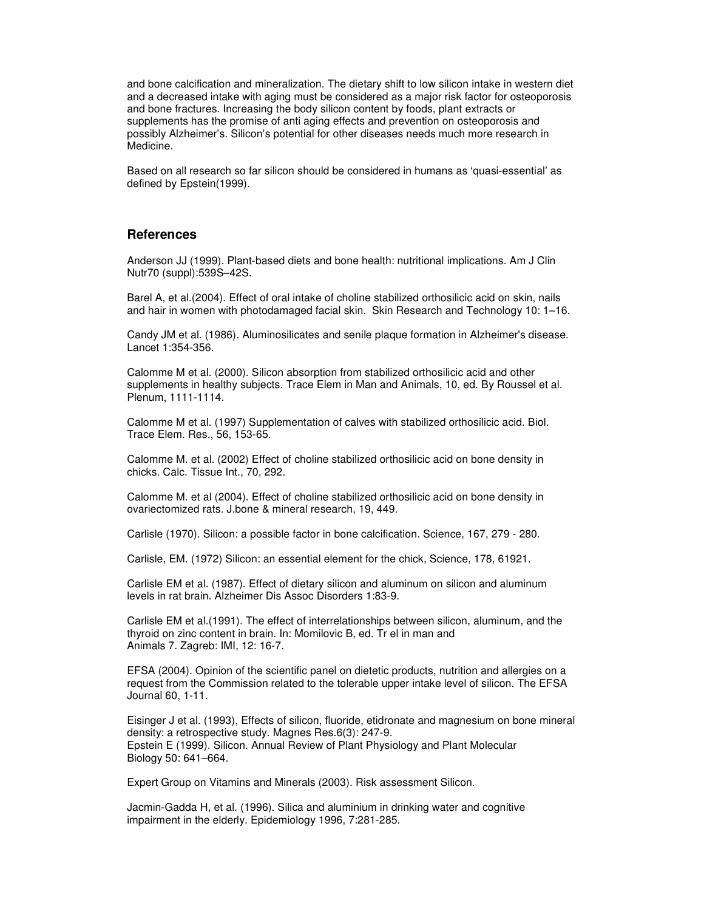and bone calcification and mineralization. The dietary shift to low silicon intake in western diet and a decreased intake with aging must be considered as a major risk factor for osteoporosis and bone fractures. Increasing the body silicon content by foods, plant extracts or supplements has the promise of anti aging effects and prevention on osteoporosis and possibly Alzheimer's. Silicon's potential for other diseases needs much more research in Medicine.

Based on all research so far silicon should be considered in humans as 'quasi-essential' as defined by Epstein(1999).

## **References**

Anderson JJ (1999). Plant-based diets and bone health: nutritional implications. Am J Clin Nutr70 (suppl):539S–42S.

Barel A, et al.(2004). Effect of oral intake of choline stabilized orthosilicic acid on skin, nails and hair in women with photodamaged facial skin. Skin Research and Technology 10: 1–16.

Candy JM et al. (1986). Aluminosilicates and senile plaque formation in Alzheimer's disease. Lancet 1:354-356.

Calomme M et al. (2000). Silicon absorption from stabilized orthosilicic acid and other supplements in healthy subjects. Trace Elem in Man and Animals, 10, ed. By Roussel et al. Plenum, 1111-1114.

Calomme M et al. (1997) Supplementation of calves with stabilized orthosilicic acid. Biol. Trace Elem. Res., 56, 153-65.

Calomme M. et al. (2002) Effect of choline stabilized orthosilicic acid on bone density in chicks. Calc. Tissue Int., 70, 292.

Calomme M. et al (2004). Effect of choline stabilized orthosilicic acid on bone density in ovariectomized rats. J.bone & mineral research, 19, 449.

Carlisle (1970). Silicon: a possible factor in bone calcification. Science, 167, 279 - 280.

Carlisle, EM. (1972) Silicon: an essential element for the chick, Science, 178, 61921.

Carlisle EM et al. (1987). Effect of dietary silicon and aluminum on silicon and aluminum levels in rat brain. Alzheimer Dis Assoc Disorders 1:83-9.

Carlisle EM et al.(1991). The effect of interrelationships between silicon, aluminum, and the thyroid on zinc content in brain. In: Momilovic B, ed. Tr el in man and Animals 7. Zagreb: IMI, 12: 16-7.

EFSA (2004). Opinion of the scientific panel on dietetic products, nutrition and allergies on a request from the Commission related to the tolerable upper intake level of silicon. The EFSA Journal 60, 1-11.

Eisinger J et al. (1993), Effects of silicon, fluoride, etidronate and magnesium on bone mineral density: a retrospective study. Magnes Res.6(3): 247-9. Epstein E (1999). Silicon. Annual Review of Plant Physiology and Plant Molecular Biology 50: 641–664.

Expert Group on Vitamins and Minerals (2003). Risk assessment Silicon.

Jacmin-Gadda H, et al. (1996). Silica and aluminium in drinking water and cognitive impairment in the elderly. Epidemiology 1996, 7:281-285.